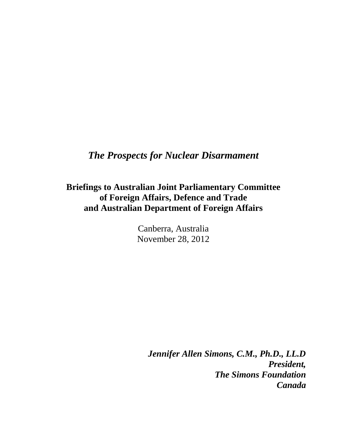## *The Prospects for Nuclear Disarmament*

**Briefings to Australian Joint Parliamentary Committee of Foreign Affairs, Defence and Trade and Australian Department of Foreign Affairs**

> Canberra, Australia November 28, 2012

> > *Jennifer Allen Simons, C.M., Ph.D., LL.D President, The Simons Foundation Canada*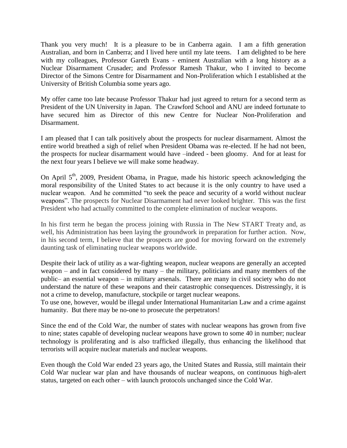Thank you very much! It is a pleasure to be in Canberra again. I am a fifth generation Australian, and born in Canberra; and I lived here until my late teens. I am delighted to be here with my colleagues, Professor Gareth Evans - eminent Australian with a long history as a Nuclear Disarmament Crusader; and Professor Ramesh Thakur, who I invited to become Director of the Simons Centre for Disarmament and Non-Proliferation which I established at the University of British Columbia some years ago.

My offer came too late because Professor Thakur had just agreed to return for a second term as President of the UN University in Japan. The Crawford School and ANU are indeed fortunate to have secured him as Director of this new Centre for Nuclear Non-Proliferation and Disarmament.

I am pleased that I can talk positively about the prospects for nuclear disarmament. Almost the entire world breathed a sigh of relief when President Obama was re-elected. If he had not been, the prospects for nuclear disarmament would have –indeed - been gloomy. And for at least for the next four years I believe we will make some headway.

On April  $5<sup>th</sup>$ , 2009, President Obama, in Prague, made his historic speech acknowledging the moral responsibility of the United States to act because it is the only country to have used a nuclear weapon. And he committed "to seek the peace and security of a world without nuclear weapons". The prospects for Nuclear Disarmament had never looked brighter. This was the first President who had actually committed to the complete elimination of nuclear weapons.

In his first term he began the process joining with Russia in The New START Treaty and, as well, his Administration has been laying the groundwork in preparation for further action. Now, in his second term, I believe that the prospects are good for moving forward on the extremely daunting task of eliminating nuclear weapons worldwide.

Despite their lack of utility as a war-fighting weapon, nuclear weapons are generally an accepted weapon – and in fact considered by many – the military, politicians and many members of the public– an essential weapon – in military arsenals. There are many in civil society who do not understand the nature of these weapons and their catastrophic consequences. Distressingly, it is not a crime to develop, manufacture, stockpile or target nuclear weapons.

To use one, however, would be illegal under International Humanitarian Law and a crime against humanity. But there may be no-one to prosecute the perpetrators!

Since the end of the Cold War, the number of states with nuclear weapons has grown from five to nine; states capable of developing nuclear weapons have grown to some 40 in number; nuclear technology is proliferating and is also trafficked illegally, thus enhancing the likelihood that terrorists will acquire nuclear materials and nuclear weapons.

Even though the Cold War ended 23 years ago, the United States and Russia, still maintain their Cold War nuclear war plan and have thousands of nuclear weapons, on continuous high-alert status, targeted on each other – with launch protocols unchanged since the Cold War.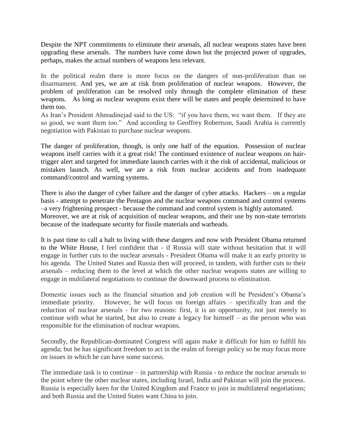Despite the NPT commitments to eliminate their arsenals, all nuclear weapons states have been upgrading these arsenals. The numbers have come down but the projected power of upgrades, perhaps, makes the actual numbers of weapons less relevant.

In the political realm there is more focus on the dangers of non-proliferation than on disarmament. And yes, we are at risk from proliferation of nuclear weapons. However, the problem of proliferation can be resolved only through the complete elimination of these weapons. As long as nuclear weapons exist there will be states and people determined to have them too.

As Iran's President Ahmadinejad said to the US: "if you have them, we want them. If they are so good, we want them too." And according to Geoffrey Robertson, Saudi Arabia is currently negotiation with Pakistan to purchase nuclear weapons.

The danger of proliferation, though, is only one half of the equation. Possession of nuclear weapons itself carries with it a great risk! The continued existence of nuclear weapons on hairtrigger alert and targeted for immediate launch carries with it the risk of accidental, malicious or mistaken launch. As well, we are a risk from nuclear accidents and from inadequate command/control and warning systems.

There is also the danger of cyber failure and the danger of cyber attacks. Hackers – on a regular basis - attempt to penetrate the Pentagon and the nuclear weapons command and control systems –a very frightening prospect - because the command and control system is highly automated. Moreover, we are at risk of acquisition of nuclear weapons, and their use by non-state terrorists because of the inadequate security for fissile materials and warheads.

It is past time to call a halt to living with these dangers and now with President Obama returned to the White House, I feel confident that - if Russia will state without hesitation that it will engage in further cuts to the nuclear arsenals - President Obama will make it an early priority in his agenda. The United States and Russia then will proceed, in tandem, with further cuts to their arsenals – reducing them to the level at which the other nuclear weapons states are willing to engage in multilateral negotiations to continue the downward process to elimination.

Domestic issues such as the financial situation and job creation will be President's Obama's immediate priority. However, he will focus on foreign affairs – specifically Iran and the reduction of nuclear arsenals - for two reasons: first, it is an opportunity, not just merely to continue with what he started, but also to create a legacy for himself – as the person who was responsible for the elimination of nuclear weapons.

Secondly, the Republican-dominated Congress will again make it difficult for him to fulfill his agenda; but he has significant freedom to act in the realm of foreign policy so he may focus more on issues in which he can have some success.

The immediate task is to continue – in partnership with Russia - to reduce the nuclear arsenals to the point where the other nuclear states, including Israel, India and Pakistan will join the process. Russia is especially keen for the United Kingdom and France to join in multilateral negotiations; and both Russia and the United States want China to join.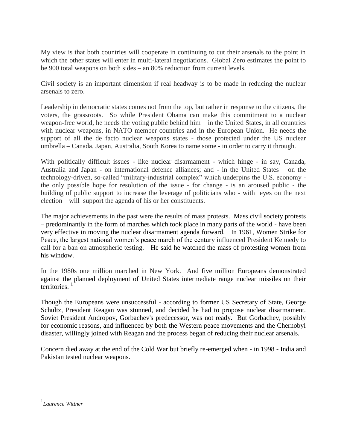My view is that both countries will cooperate in continuing to cut their arsenals to the point in which the other states will enter in multi-lateral negotiations. Global Zero estimates the point to be 900 total weapons on both sides – an 80% reduction from current levels.

Civil society is an important dimension if real headway is to be made in reducing the nuclear arsenals to zero.

Leadership in democratic states comes not from the top, but rather in response to the citizens, the voters, the grassroots. So while President Obama can make this commitment to a nuclear weapon-free world, he needs the voting public behind him – in the United States, in all countries with nuclear weapons, in NATO member countries and in the European Union. He needs the support of all the de facto nuclear weapons states - those protected under the US nuclear umbrella – Canada, Japan, Australia, South Korea to name some - in order to carry it through.

With politically difficult issues - like nuclear disarmament - which hinge - in say, Canada, Australia and Japan - on international defence alliances; and - in the United States – on the technology-driven, so-called "military-industrial complex" which underpins the U.S. economy the only possible hope for resolution of the issue - for change - is an aroused public - the building of public support to increase the leverage of politicians who - with eyes on the next election – will support the agenda of his or her constituents.

The major achievements in the past were the results of mass protests. Mass civil society protests – predominantly in the form of marches which took place in many parts of the world - have been very effective in moving the nuclear disarmament agenda forward. In 1961, Women Strike for Peace, the largest national women's peace march of the century influenced President Kennedy to call for a ban on atmospheric testing. He said he watched the mass of protesting women from his window.

In the 1980s one million marched in New York. And five million Europeans demonstrated against the planned deployment of United States intermediate range nuclear missiles on their territories. $1$ 

Though the Europeans were unsuccessful - according to former US Secretary of State, George Schultz, President Reagan was stunned, and decided he had to propose nuclear disarmament. Soviet President Andropov, Gorbachev's predecessor, was not ready. But Gorbachev, possibly for economic reasons, and influenced by both the Western peace movements and the Chernobyl disaster, willingly joined with Reagan and the process began of reducing their nuclear arsenals.

Concern died away at the end of the Cold War but briefly re-emerged when - in 1998 - India and Pakistan tested nuclear weapons.

 $\overline{a}$ 

<sup>1</sup> *Laurence Wittner*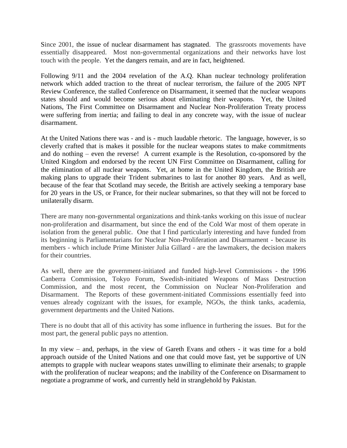Since 2001, the issue of nuclear disarmament has stagnated. The grassroots movements have essentially disappeared. Most non-governmental organizations and their networks have lost touch with the people. Yet the dangers remain, and are in fact, heightened.

Following 9/11 and the 2004 revelation of the A.Q. Khan nuclear technology proliferation network which added traction to the threat of nuclear terrorism, the failure of the 2005 NPT Review Conference, the stalled Conference on Disarmament, it seemed that the nuclear weapons states should and would become serious about eliminating their weapons. Yet, the United Nations, The First Committee on Disarmament and Nuclear Non-Proliferation Treaty process were suffering from inertia; and failing to deal in any concrete way, with the issue of nuclear disarmament.

At the United Nations there was - and is - much laudable rhetoric. The language, however, is so cleverly crafted that is makes it possible for the nuclear weapons states to make commitments and do nothing – even the reverse! A current example is the Resolution, co-sponsored by the United Kingdom and endorsed by the recent UN First Committee on Disarmament, calling for the elimination of all nuclear weapons. Yet, at home in the United Kingdom, the British are making plans to upgrade their Trident submarines to last for another 80 years. And as well, because of the fear that Scotland may secede, the British are actively seeking a temporary base for 20 years in the US, or France, for their nuclear submarines, so that they will not be forced to unilaterally disarm.

There are many non-governmental organizations and think-tanks working on this issue of nuclear non-proliferation and disarmament, but since the end of the Cold War most of them operate in isolation from the general public. One that I find particularly interesting and have funded from its beginning is Parliamentarians for Nuclear Non-Proliferation and Disarmament - because its members - which include Prime Minister Julia Gillard - are the lawmakers, the decision makers for their countries.

As well, there are the government-initiated and funded high-level Commissions - the 1996 Canberra Commission, Tokyo Forum, Swedish-initiated Weapons of Mass Destruction Commission, and the most recent, the Commission on Nuclear Non-Proliferation and Disarmament. The Reports of these government-initiated Commissions essentially feed into venues already cognizant with the issues, for example, NGOs, the think tanks, academia, government departments and the United Nations.

There is no doubt that all of this activity has some influence in furthering the issues. But for the most part, the general public pays no attention.

In my view – and, perhaps, in the view of Gareth Evans and others - it was time for a bold approach outside of the United Nations and one that could move fast, yet be supportive of UN attempts to grapple with nuclear weapons states unwilling to eliminate their arsenals; to grapple with the proliferation of nuclear weapons; and the inability of the Conference on Disarmament to negotiate a programme of work, and currently held in stranglehold by Pakistan.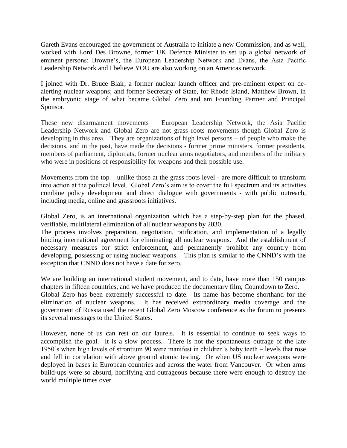Gareth Evans encouraged the government of Australia to initiate a new Commission, and as well, worked with Lord Des Browne, former UK Defence Minister to set up a global network of eminent persons: Browne's, the European Leadership Network and Evans, the Asia Pacific Leadership Network and I believe YOU are also working on an Americas network.

I joined with Dr. Bruce Blair, a former nuclear launch officer and pre-eminent expert on dealerting nuclear weapons; and former Secretary of State, for Rhode Island, Matthew Brown, in the embryonic stage of what became Global Zero and am Founding Partner and Principal Sponsor.

These new disarmament movements – European Leadership Network, the Asia Pacific Leadership Network and Global Zero are not grass roots movements though Global Zero is developing in this area. They are organizations of high level persons – of people who make the decisions, and in the past, have made the decisions - former prime ministers, former presidents, members of parliament, diplomats, former nuclear arms negotiators, and members of the military who were in positions of responsibility for weapons and their possible use.

Movements from the top – unlike those at the grass roots level - are more difficult to transform into action at the political level. Global Zero's aim is to cover the full spectrum and its activities combine policy development and direct dialogue with governments - with public outreach, including media, online and grassroots initiatives.

Global Zero, is an international organization which has a step-by-step plan for the phased, verifiable, multilateral elimination of all nuclear weapons by 2030.

The process involves preparation, negotiation, ratification, and implementation of a legally binding international agreement for eliminating all nuclear weapons. And the establishment of necessary measures for strict enforcement, and permanently prohibit any country from developing, possessing or using nuclear weapons. This plan is similar to the CNND's with the exception that CNND does not have a date for zero.

We are building an international student movement, and to date, have more than 150 campus chapters in fifteen countries, and we have produced the documentary film, Countdown to Zero. Global Zero has been extremely successful to date. Its name has become shorthand for the elimination of nuclear weapons. It has received extraordinary media coverage and the government of Russia used the recent Global Zero Moscow conference as the forum to presents

its several messages to the United States.

However, none of us can rest on our laurels. It is essential to continue to seek ways to accomplish the goal. It is a slow process. There is not the spontaneous outrage of the late 1950's when high levels of strontium 90 were manifest in children's baby teeth – levels that rose and fell in correlation with above ground atomic testing. Or when US nuclear weapons were deployed in bases in European countries and across the water from Vancouver. Or when arms build-ups were so absurd, horrifying and outrageous because there were enough to destroy the world multiple times over.